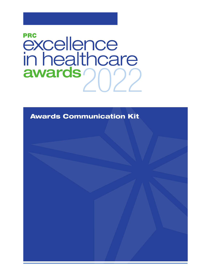# **PRC** *<u>excellence</u>*<br> **in healthcare**<br> **awards**

Awards Communication Kit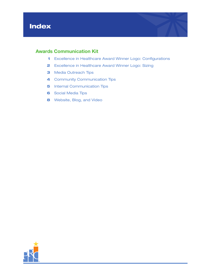

## Awards Communication Kit

- 1 Excellence in Healthcare Award Winner Logo: Configurations
- 2 Excellence in Healthcare Award Winner Logo: Sizing
- 3 Media Outreach Tips
- 4 Community Communication Tips
- **5** Internal Communication Tips
- **6** Social Media Tips
- 8 Website, Blog, and Video

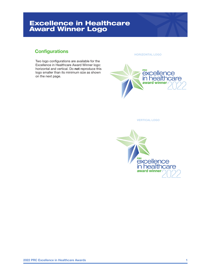# Excellence in Healthcare Award Winner Logo

#### **Configurations**

Two logo configurations are available for the Excellence in Healthcare Award Winner logo: horizontal and vertical. Do not reproduce this logo smaller than its minimum size as shown on the next page.

HORIZONTAL LOGO



VERTICAL LOGO

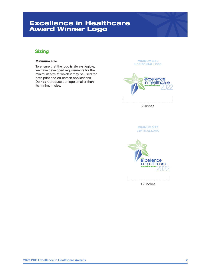# Excellence in Healthcare Award Winner Logo

## **Sizing**

#### Minimum size

To ensure that the logo is always legible, we have developed requirements for the minimum size at which it may be used for both print and on-screen applications. Do not reproduce our logo smaller than its minimum size.

MINIMUM SIZE HORIZONTAL LOGO



MINIMUM SIZE VERTICAL LOGO



1.7 inches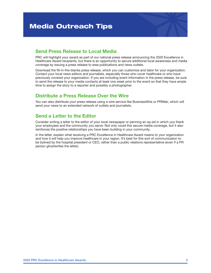#### Send Press Release to Local Media

PRC will highlight your award as part of our national press release announcing the 2020 Excellence in Healthcare Award recipients, but there is an opportunity to secure additional local awareness and media coverage by issuing a press release to area publications and news outlets.

Download the fill-in-the-blanks press release, which you can customize and tailor for your organization. Contact your local news editors and journalists, especially those who cover healthcare or who have previously covered your organization. If you are including event information in the press release, be sure to send the release to your media contacts at least one week prior to the event so that they have ample time to assign the story to a reporter and possibly a photographer.

#### Distribute a Press Release Over the Wire

You can also distribute your press release using a wire service like BusinessWire or PRWeb, which will send your news to an extended network of outlets and journalists.

#### Send a Letter to the Editor

Consider writing a letter to the editor of your local newspaper or penning an op-ed in which you thank your employees and the community you serve. Not only could this secure media coverage, but it also reinforces the positive relationships you have been building in your community.

In the letter, explain what receiving a PRC Excellence in Healthcare Award means to your organization and how it will help you improve healthcare in your region. It's best for this sort of communication to be bylined by the hospital president or CEO, rather than a public relations representative (even if a PR person ghostwrites the letter).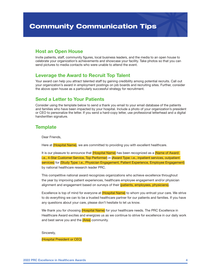#### Host an Open House

Invite patients, staff, community figures, local business leaders, and the media to an open house to celebrate your organization's achievements and showcase your facility. Take photos so that you can send pictures to media contacts who were unable to attend the event.

#### Leverage the Award to Recruit Top Talent

Your award can help you attract talented staff by gaining credibility among potential recruits. Call out your organization's award in employment postings on job boards and recruiting sites. Further, consider the above open house as a particularly successful strategy for recruitment.

#### Send a Letter to Your Patients

Consider using the template below to send a thank you email to your email database of the patients and families who have been impacted by your hospital. Include a photo of your organization's president or CEO to personalize the letter. If you send a hard-copy letter, use professional letterhead and a digital handwritten signature.

#### **Template**

Dear Friends,

Here at (Hospital Name), we are committed to providing you with excellent healthcare.

It is our pleasure to announce that (Hospital Name) has been recognized as a (Name of Award: i.e., 4-Star Customer Service, Top Performer) in (Award Type: i.e., inpatient services, outpatient services) for (Study Type: i.e., Physician Engagement, Patient Experience, Employee Engagement) by national healthcare research leader PRC.

This competitive national award recognizes organizations who achieve excellence throughout the year by improving patient experiences, healthcare employee engagement and/or physician alignment and engagement based on surveys of their (patients, employees, physicians).

Excellence is top of mind for everyone at (Hospital Name) to whom you entrust your care. We strive to do everything we can to be a trusted healthcare partner for our patients and families. If you have any questions about your care, please don't hesitate to let us know.

We thank you for choosing (Hospital Name) for your healthcare needs. The PRC Excellence in Healthcare Award excites and energizes us as we continue to strive for excellence in our daily work and best serve you and the (Area) community.

Sincerely,

(Hospital President or CEO)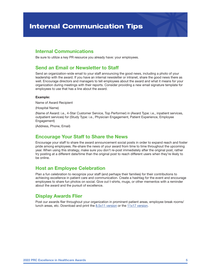#### Internal Communications

Be sure to utilize a key PR resource you already have: your employees.

## Send an Email or Newsletter to Staff

Send an organization-wide email to your staff announcing the good news, including a photo of your leadership with the award. If you have an internal newsletter or intranet, share the good news there as well. Encourage directors and managers to tell employees about the award and what it means for your organization during meetings with their reports. Consider providing a new email signature template for employees to use that has a line about the award.

#### Example:

Name of Award Recipient

(Hospital Name)

(Name of Award: i.e., 4-Star Customer Service, Top Performer) in (Award Type: i.e., inpatient services, outpatient services) for (Study Type: i.e., Physician Engagement, Patient Experience, Employee Engagement)

(Address, Phone, Email)

#### Encourage Your Staff to Share the News

Encourage your staff to share the award announcement social posts in order to expand reach and foster pride among employees. Re-share the news of your award from time to time throughout the upcoming year. When using this strategy, make sure you don't re-post immediately after the original post, rather try posting at a different date/time than the original post to reach different users when they're likely to be online.

#### Host an Employee Celebration

Plan a fun celebration to recognize your staff (and perhaps their families) for their contributions to achieving excellence in patient care and communication. Create a hashtag for the event and encourage employees to share fun photos on social. Give out t-shirts, mugs, or other mementos with a reminder about the award and the pursuit of excellence.

#### Display Awards Flier

Post our awards flier throughout your organization in prominent patient areas, employee break rooms/ lunch areas, etc. Download and print the 8.5x11 version or the 11x17 version.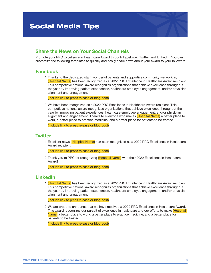#### Share the News on Your Social Channels

Promote your PRC Excellence in Healthcare Award through Facebook, Twitter, and LinkedIn. You can customize the following templates to quickly and easily share news about your award to your followers.

#### Facebook

1. Thanks to the dedicated staff, wonderful patients and supportive community we work in, (Hospital Name) has been recognized as a 2022 PRC Excellence in Healthcare Award recipient. This competitive national award recognizes organizations that achieve excellence throughout the year by improving patient experiences, healthcare employee engagement, and/or physician alignment and engagement.

(Include link to press release or blog post)

2. We have been recognized as a 2022 PRC Excellence in Healthcare Award recipient! This competitive national award recognizes organizations that achieve excellence throughout the year by improving patient experiences, healthcare employee engagement, and/or physician alignment and engagement. Thanks to everyone who makes (Hospital Name) a better place to work, a better place to practice medicine, and a better place for patients to be treated.

(Include link to press release or blog post)

#### **Twitter**

1. Excellent news! (Hospital Name) has been recognized as a 2022 PRC Excellence in Healthcare Award recipient.

(Include link to press release or blog post)

2. Thank you to PRC for recognizing (Hospital Name) with their 2022 Excellence in Healthcare Award!

(Include link to press release or blog post)

#### LinkedIn

1. (Hospital Name) has been recognized as a 2022 PRC Excellence in Healthcare Award recipient. This competitive national award recognizes organizations that achieve excellence throughout the year by improving patient experiences, healthcare employee engagement, and/or physician alignment and engagement.

(Include link to press release or blog post)

2. We are proud to announce that we have received a 2022 PRC Excellence in Healthcare Award. This award recognizes our pursuit of excellence in healthcare and our efforts to make (Hospital Name) a better place to work, a better place to practice medicine, and a better place for patients to be treated.

(Include link to press release or blog post)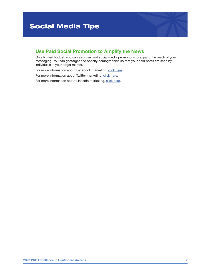#### Use Paid Social Promotion to Amplify the News

On a limited budget, you can also use paid social media promotions to expand the reach of your messaging. You can geotarget and specify demographics so that your paid posts are seen by individuals in your target market.

For more information about Facebook marketing, click here.

For more information about Twitter marketing, click here.

For more information about LinkedIn marketing, click here.